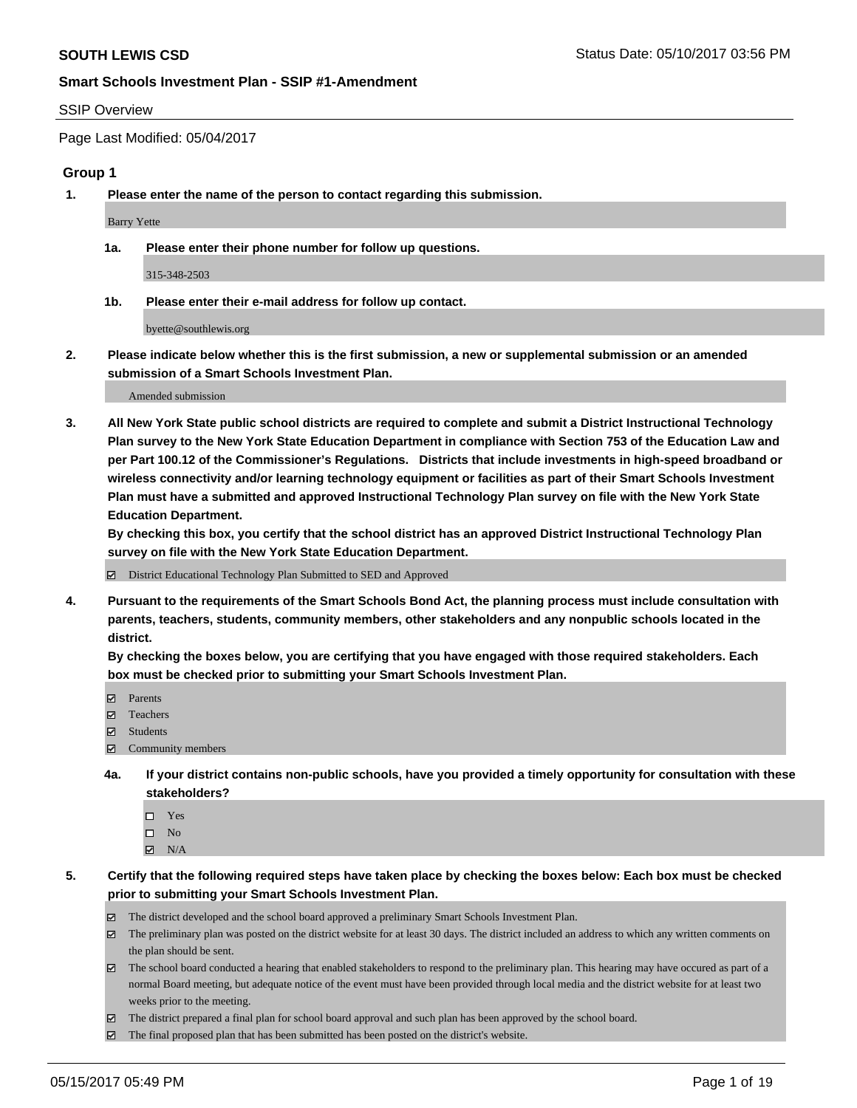#### SSIP Overview

Page Last Modified: 05/04/2017

## **Group 1**

**1. Please enter the name of the person to contact regarding this submission.**

Barry Yette

**1a. Please enter their phone number for follow up questions.**

315-348-2503

**1b. Please enter their e-mail address for follow up contact.**

byette@southlewis.org

**2. Please indicate below whether this is the first submission, a new or supplemental submission or an amended submission of a Smart Schools Investment Plan.**

Amended submission

**3. All New York State public school districts are required to complete and submit a District Instructional Technology Plan survey to the New York State Education Department in compliance with Section 753 of the Education Law and per Part 100.12 of the Commissioner's Regulations. Districts that include investments in high-speed broadband or wireless connectivity and/or learning technology equipment or facilities as part of their Smart Schools Investment Plan must have a submitted and approved Instructional Technology Plan survey on file with the New York State Education Department.** 

**By checking this box, you certify that the school district has an approved District Instructional Technology Plan survey on file with the New York State Education Department.**

District Educational Technology Plan Submitted to SED and Approved

**4. Pursuant to the requirements of the Smart Schools Bond Act, the planning process must include consultation with parents, teachers, students, community members, other stakeholders and any nonpublic schools located in the district.** 

**By checking the boxes below, you are certifying that you have engaged with those required stakeholders. Each box must be checked prior to submitting your Smart Schools Investment Plan.**

- **マ** Parents
- □ Teachers
- Students
- $\Xi$  Community members
- **4a. If your district contains non-public schools, have you provided a timely opportunity for consultation with these stakeholders?**
	- Yes
	- $\hfill \square$  No
	- $\boxtimes$  N/A
- **5. Certify that the following required steps have taken place by checking the boxes below: Each box must be checked prior to submitting your Smart Schools Investment Plan.**
	- The district developed and the school board approved a preliminary Smart Schools Investment Plan.
	- $\boxtimes$  The preliminary plan was posted on the district website for at least 30 days. The district included an address to which any written comments on the plan should be sent.
	- $\boxtimes$  The school board conducted a hearing that enabled stakeholders to respond to the preliminary plan. This hearing may have occured as part of a normal Board meeting, but adequate notice of the event must have been provided through local media and the district website for at least two weeks prior to the meeting.
	- The district prepared a final plan for school board approval and such plan has been approved by the school board.
	- $\boxtimes$  The final proposed plan that has been submitted has been posted on the district's website.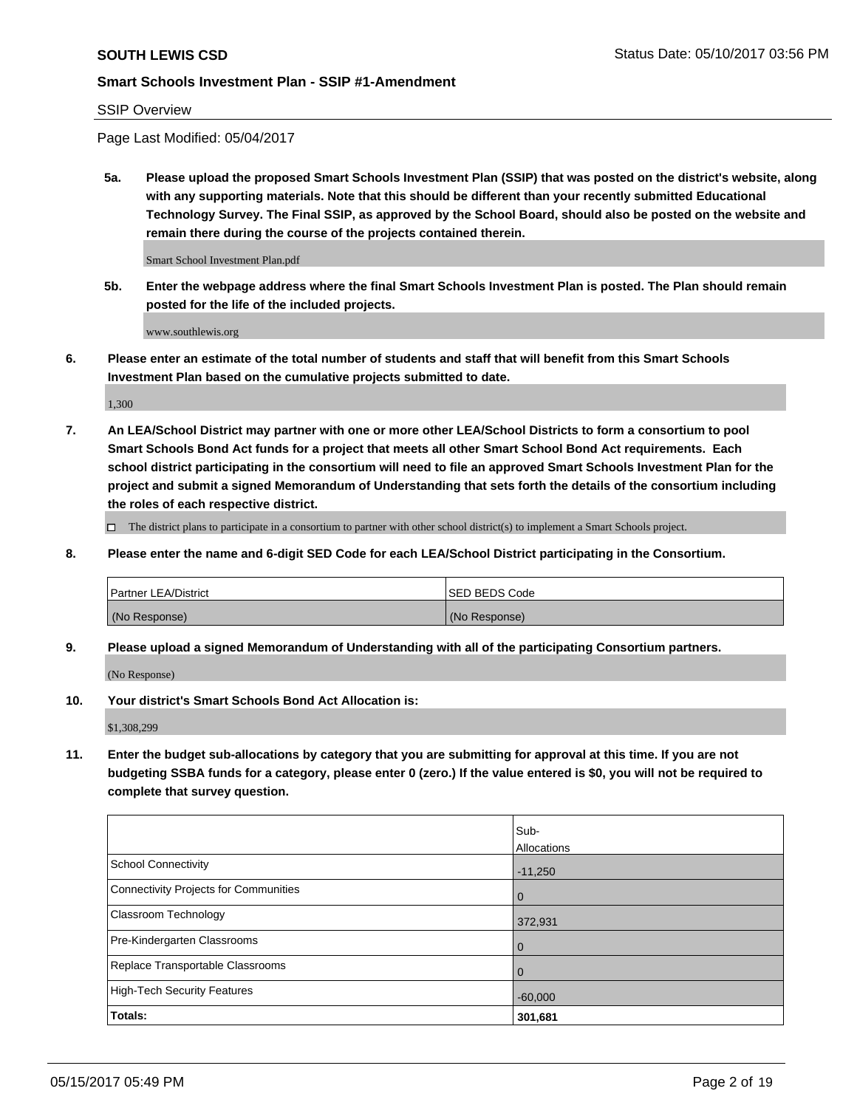## SSIP Overview

Page Last Modified: 05/04/2017

**5a. Please upload the proposed Smart Schools Investment Plan (SSIP) that was posted on the district's website, along with any supporting materials. Note that this should be different than your recently submitted Educational Technology Survey. The Final SSIP, as approved by the School Board, should also be posted on the website and remain there during the course of the projects contained therein.**

Smart School Investment Plan.pdf

**5b. Enter the webpage address where the final Smart Schools Investment Plan is posted. The Plan should remain posted for the life of the included projects.**

www.southlewis.org

**6. Please enter an estimate of the total number of students and staff that will benefit from this Smart Schools Investment Plan based on the cumulative projects submitted to date.**

1,300

**7. An LEA/School District may partner with one or more other LEA/School Districts to form a consortium to pool Smart Schools Bond Act funds for a project that meets all other Smart School Bond Act requirements. Each school district participating in the consortium will need to file an approved Smart Schools Investment Plan for the project and submit a signed Memorandum of Understanding that sets forth the details of the consortium including the roles of each respective district.**

 $\Box$  The district plans to participate in a consortium to partner with other school district(s) to implement a Smart Schools project.

**8. Please enter the name and 6-digit SED Code for each LEA/School District participating in the Consortium.**

| <b>Partner LEA/District</b> | <b>ISED BEDS Code</b> |
|-----------------------------|-----------------------|
| (No Response)               | (No Response)         |

**9. Please upload a signed Memorandum of Understanding with all of the participating Consortium partners.**

(No Response)

**10. Your district's Smart Schools Bond Act Allocation is:**

\$1,308,299

**11. Enter the budget sub-allocations by category that you are submitting for approval at this time. If you are not budgeting SSBA funds for a category, please enter 0 (zero.) If the value entered is \$0, you will not be required to complete that survey question.**

|                                       | Sub-        |
|---------------------------------------|-------------|
|                                       | Allocations |
| <b>School Connectivity</b>            | $-11,250$   |
| Connectivity Projects for Communities | $\mathbf 0$ |
| <b>Classroom Technology</b>           | 372,931     |
| Pre-Kindergarten Classrooms           | $\mathbf 0$ |
| Replace Transportable Classrooms      | 0           |
| <b>High-Tech Security Features</b>    | $-60,000$   |
| Totals:                               | 301,681     |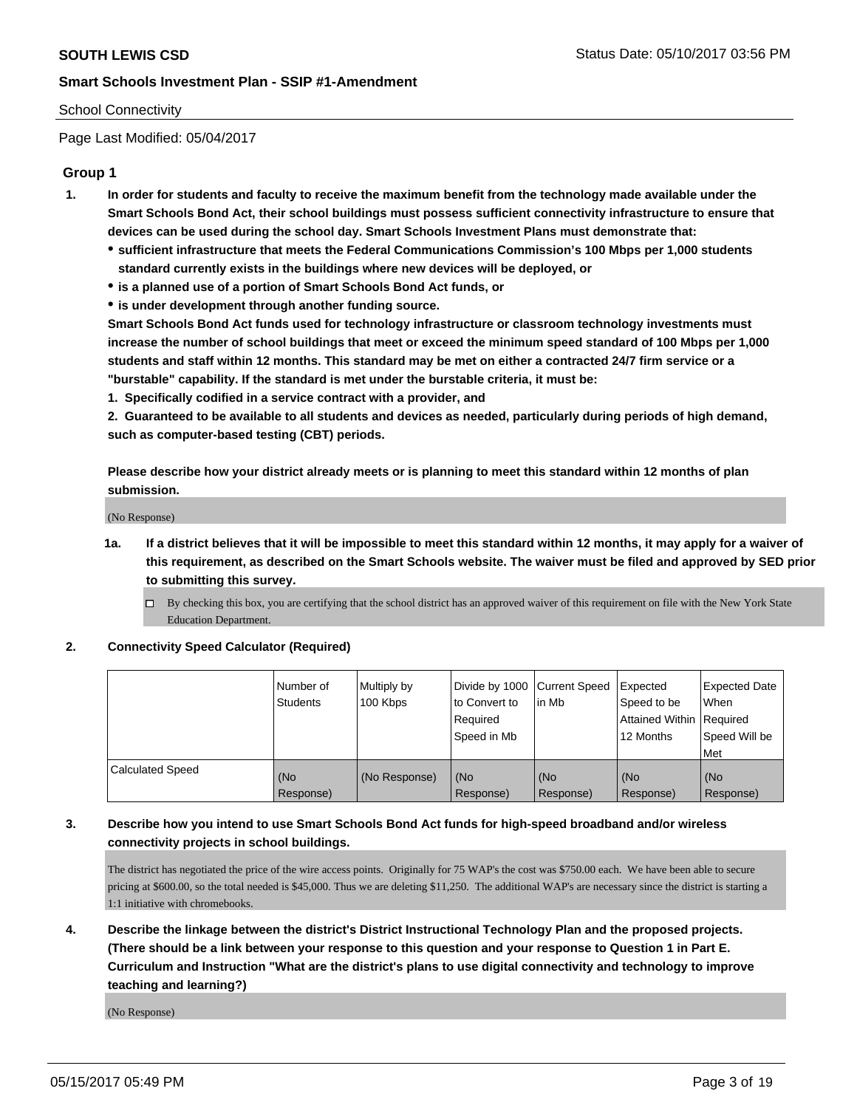## School Connectivity

Page Last Modified: 05/04/2017

# **Group 1**

- **1. In order for students and faculty to receive the maximum benefit from the technology made available under the Smart Schools Bond Act, their school buildings must possess sufficient connectivity infrastructure to ensure that devices can be used during the school day. Smart Schools Investment Plans must demonstrate that:**
	- **sufficient infrastructure that meets the Federal Communications Commission's 100 Mbps per 1,000 students standard currently exists in the buildings where new devices will be deployed, or**
	- **is a planned use of a portion of Smart Schools Bond Act funds, or**
	- **is under development through another funding source.**

**Smart Schools Bond Act funds used for technology infrastructure or classroom technology investments must increase the number of school buildings that meet or exceed the minimum speed standard of 100 Mbps per 1,000 students and staff within 12 months. This standard may be met on either a contracted 24/7 firm service or a "burstable" capability. If the standard is met under the burstable criteria, it must be:**

**1. Specifically codified in a service contract with a provider, and**

**2. Guaranteed to be available to all students and devices as needed, particularly during periods of high demand, such as computer-based testing (CBT) periods.**

**Please describe how your district already meets or is planning to meet this standard within 12 months of plan submission.**

(No Response)

- **1a. If a district believes that it will be impossible to meet this standard within 12 months, it may apply for a waiver of this requirement, as described on the Smart Schools website. The waiver must be filed and approved by SED prior to submitting this survey.**
	- By checking this box, you are certifying that the school district has an approved waiver of this requirement on file with the New York State Education Department.

#### **2. Connectivity Speed Calculator (Required)**

|                         | Number of<br><b>Students</b> | Multiply by<br>100 Kbps | Divide by 1000   Current Speed<br>to Convert to<br>Required<br>l Speed in Mb | lin Mb           | <b>Expected</b><br>Speed to be<br><b>Attained Within Required</b><br>12 Months | <b>Expected Date</b><br><b>When</b><br>Speed Will be<br><b>Met</b> |
|-------------------------|------------------------------|-------------------------|------------------------------------------------------------------------------|------------------|--------------------------------------------------------------------------------|--------------------------------------------------------------------|
| <b>Calculated Speed</b> | (No<br>Response)             | (No Response)           | (No<br>Response)                                                             | (No<br>Response) | l (No<br>Response)                                                             | (No<br>Response)                                                   |

# **3. Describe how you intend to use Smart Schools Bond Act funds for high-speed broadband and/or wireless connectivity projects in school buildings.**

The district has negotiated the price of the wire access points. Originally for 75 WAP's the cost was \$750.00 each. We have been able to secure pricing at \$600.00, so the total needed is \$45,000. Thus we are deleting \$11,250. The additional WAP's are necessary since the district is starting a 1:1 initiative with chromebooks.

# **4. Describe the linkage between the district's District Instructional Technology Plan and the proposed projects. (There should be a link between your response to this question and your response to Question 1 in Part E. Curriculum and Instruction "What are the district's plans to use digital connectivity and technology to improve teaching and learning?)**

(No Response)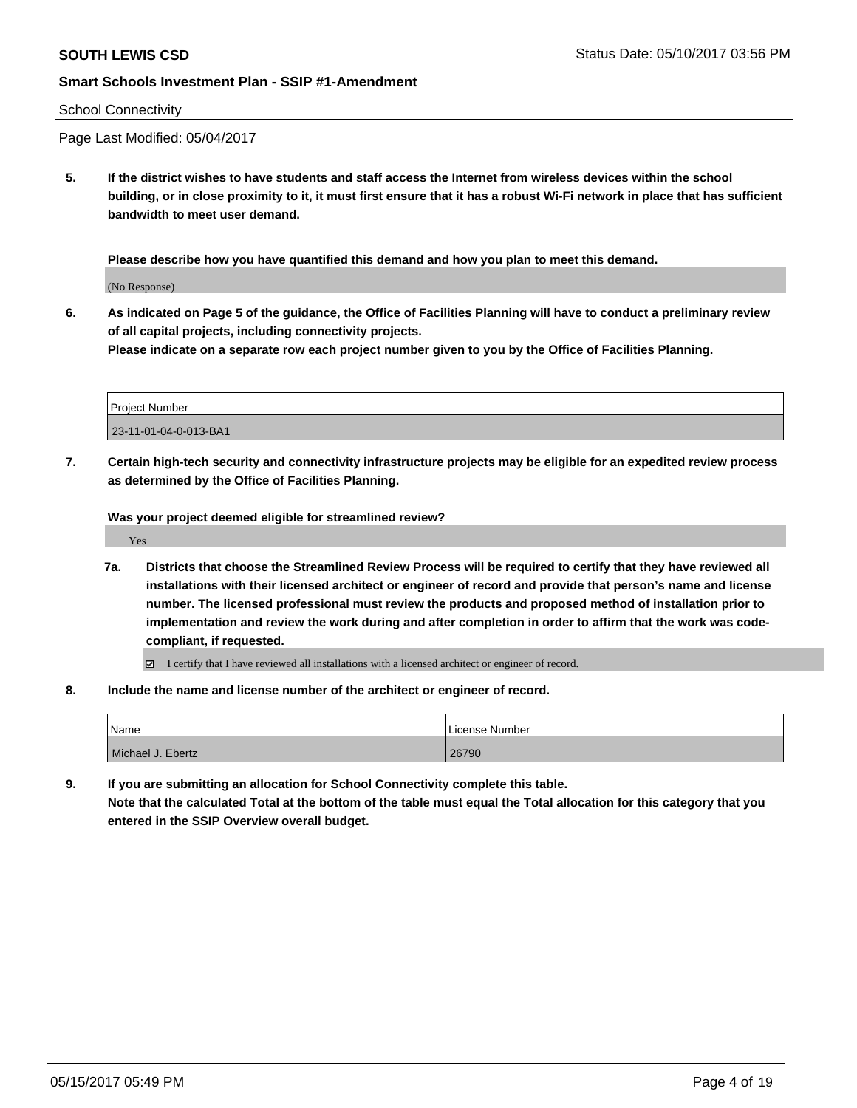#### School Connectivity

Page Last Modified: 05/04/2017

**5. If the district wishes to have students and staff access the Internet from wireless devices within the school building, or in close proximity to it, it must first ensure that it has a robust Wi-Fi network in place that has sufficient bandwidth to meet user demand.**

**Please describe how you have quantified this demand and how you plan to meet this demand.**

(No Response)

**6. As indicated on Page 5 of the guidance, the Office of Facilities Planning will have to conduct a preliminary review of all capital projects, including connectivity projects.**

**Please indicate on a separate row each project number given to you by the Office of Facilities Planning.**

| Project Number        |  |
|-----------------------|--|
| 23-11-01-04-0-013-BA1 |  |

**7. Certain high-tech security and connectivity infrastructure projects may be eligible for an expedited review process as determined by the Office of Facilities Planning.**

**Was your project deemed eligible for streamlined review?**

Yes

- **7a. Districts that choose the Streamlined Review Process will be required to certify that they have reviewed all installations with their licensed architect or engineer of record and provide that person's name and license number. The licensed professional must review the products and proposed method of installation prior to implementation and review the work during and after completion in order to affirm that the work was codecompliant, if requested.**
	- I certify that I have reviewed all installations with a licensed architect or engineer of record.
- **8. Include the name and license number of the architect or engineer of record.**

| Name              | License Number |
|-------------------|----------------|
| Michael J. Ebertz | 26790          |

**9. If you are submitting an allocation for School Connectivity complete this table.**

**Note that the calculated Total at the bottom of the table must equal the Total allocation for this category that you entered in the SSIP Overview overall budget.**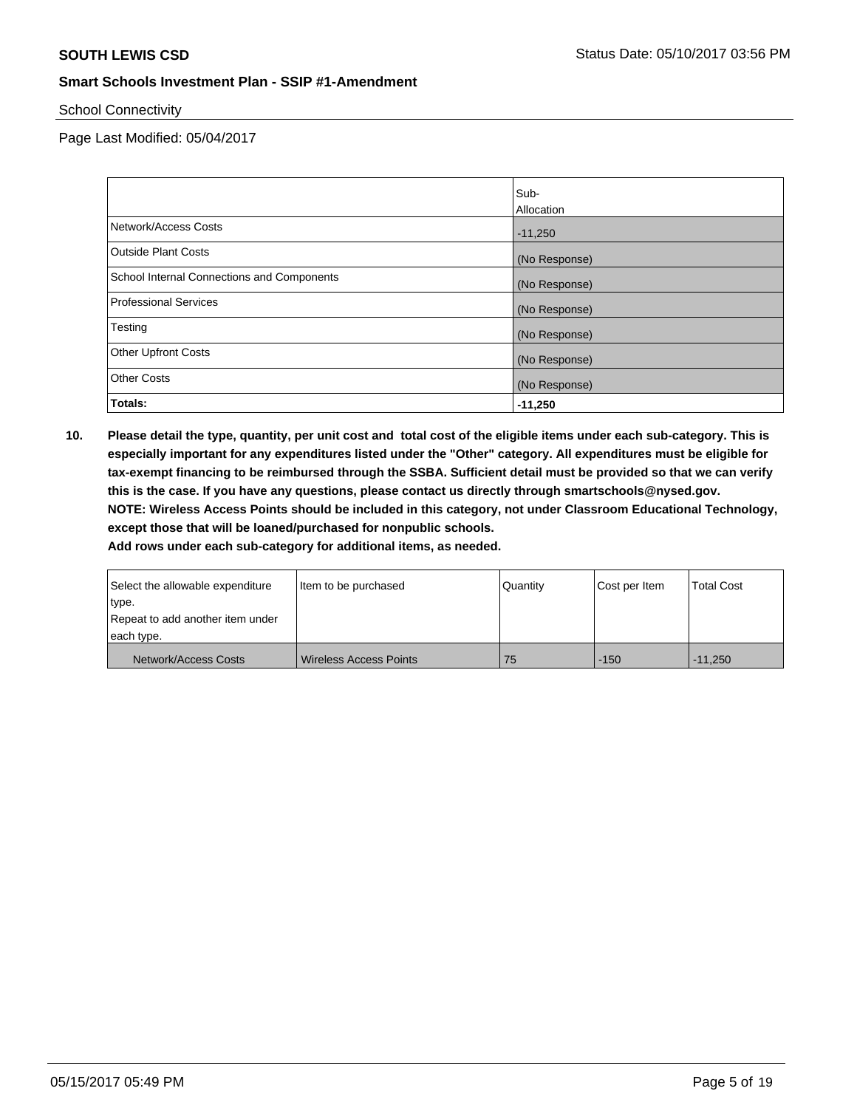School Connectivity

Page Last Modified: 05/04/2017

|                                            | Sub-          |
|--------------------------------------------|---------------|
|                                            | Allocation    |
| Network/Access Costs                       | $-11,250$     |
| <b>Outside Plant Costs</b>                 | (No Response) |
| School Internal Connections and Components | (No Response) |
| <b>Professional Services</b>               | (No Response) |
| Testing                                    | (No Response) |
| <b>Other Upfront Costs</b>                 | (No Response) |
| <b>Other Costs</b>                         | (No Response) |
| Totals:                                    | $-11,250$     |

**10. Please detail the type, quantity, per unit cost and total cost of the eligible items under each sub-category. This is especially important for any expenditures listed under the "Other" category. All expenditures must be eligible for tax-exempt financing to be reimbursed through the SSBA. Sufficient detail must be provided so that we can verify this is the case. If you have any questions, please contact us directly through smartschools@nysed.gov. NOTE: Wireless Access Points should be included in this category, not under Classroom Educational Technology, except those that will be loaned/purchased for nonpublic schools.**

| Select the allowable expenditure | Item to be purchased     | Quantity | Cost per Item | <b>Total Cost</b> |
|----------------------------------|--------------------------|----------|---------------|-------------------|
| type.                            |                          |          |               |                   |
| Repeat to add another item under |                          |          |               |                   |
| each type.                       |                          |          |               |                   |
| Network/Access Costs             | l Wireless Access Points | 75       | $-150$        | $-11.250$         |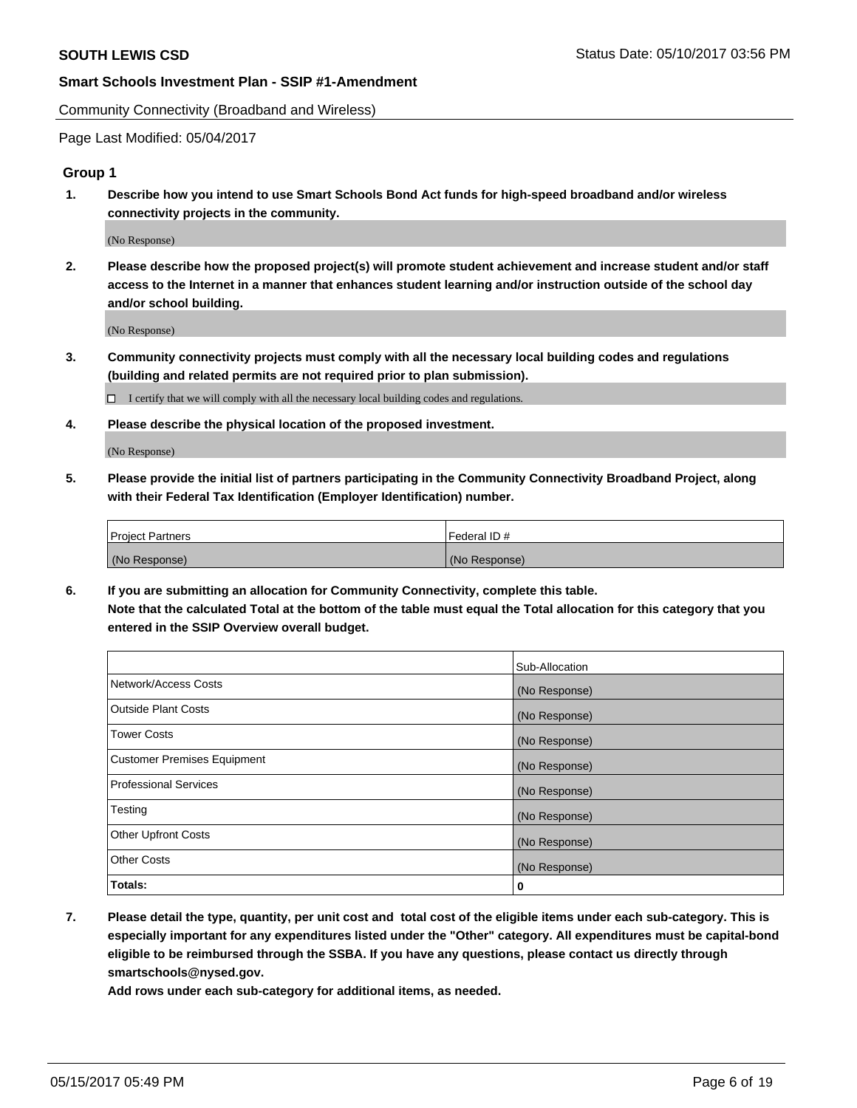Community Connectivity (Broadband and Wireless)

Page Last Modified: 05/04/2017

# **Group 1**

**1. Describe how you intend to use Smart Schools Bond Act funds for high-speed broadband and/or wireless connectivity projects in the community.**

(No Response)

**2. Please describe how the proposed project(s) will promote student achievement and increase student and/or staff access to the Internet in a manner that enhances student learning and/or instruction outside of the school day and/or school building.**

(No Response)

**3. Community connectivity projects must comply with all the necessary local building codes and regulations (building and related permits are not required prior to plan submission).**

 $\Box$  I certify that we will comply with all the necessary local building codes and regulations.

**4. Please describe the physical location of the proposed investment.**

(No Response)

**5. Please provide the initial list of partners participating in the Community Connectivity Broadband Project, along with their Federal Tax Identification (Employer Identification) number.**

| <b>Project Partners</b> | Federal ID#     |
|-------------------------|-----------------|
| (No Response)           | l (No Response) |

**6. If you are submitting an allocation for Community Connectivity, complete this table. Note that the calculated Total at the bottom of the table must equal the Total allocation for this category that you entered in the SSIP Overview overall budget.**

|                                    | Sub-Allocation |
|------------------------------------|----------------|
| Network/Access Costs               | (No Response)  |
| Outside Plant Costs                | (No Response)  |
| <b>Tower Costs</b>                 | (No Response)  |
| <b>Customer Premises Equipment</b> | (No Response)  |
| <b>Professional Services</b>       | (No Response)  |
| Testing                            | (No Response)  |
| <b>Other Upfront Costs</b>         | (No Response)  |
| <b>Other Costs</b>                 | (No Response)  |
| Totals:                            | 0              |

**7. Please detail the type, quantity, per unit cost and total cost of the eligible items under each sub-category. This is especially important for any expenditures listed under the "Other" category. All expenditures must be capital-bond eligible to be reimbursed through the SSBA. If you have any questions, please contact us directly through smartschools@nysed.gov.**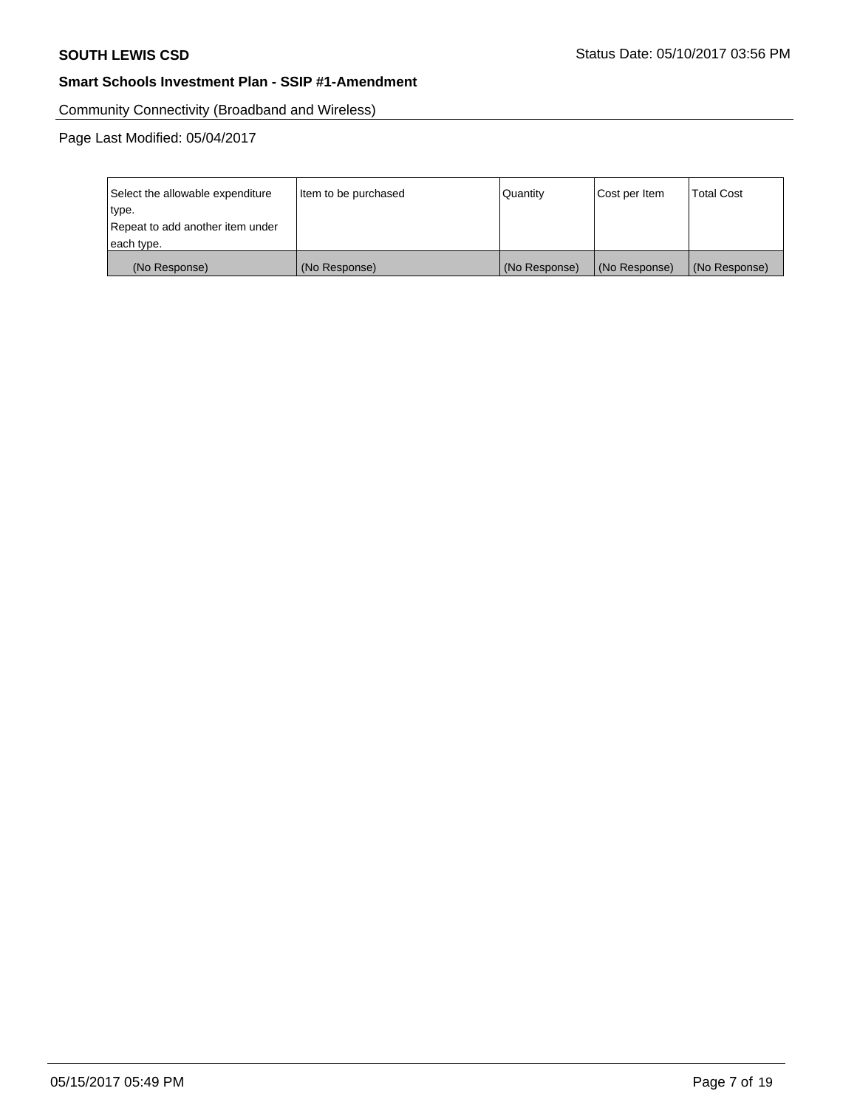Community Connectivity (Broadband and Wireless)

| Select the allowable expenditure | Item to be purchased | Quantity      | Cost per Item | <b>Total Cost</b> |
|----------------------------------|----------------------|---------------|---------------|-------------------|
| type.                            |                      |               |               |                   |
| Repeat to add another item under |                      |               |               |                   |
| each type.                       |                      |               |               |                   |
| (No Response)                    | (No Response)        | (No Response) | (No Response) | (No Response)     |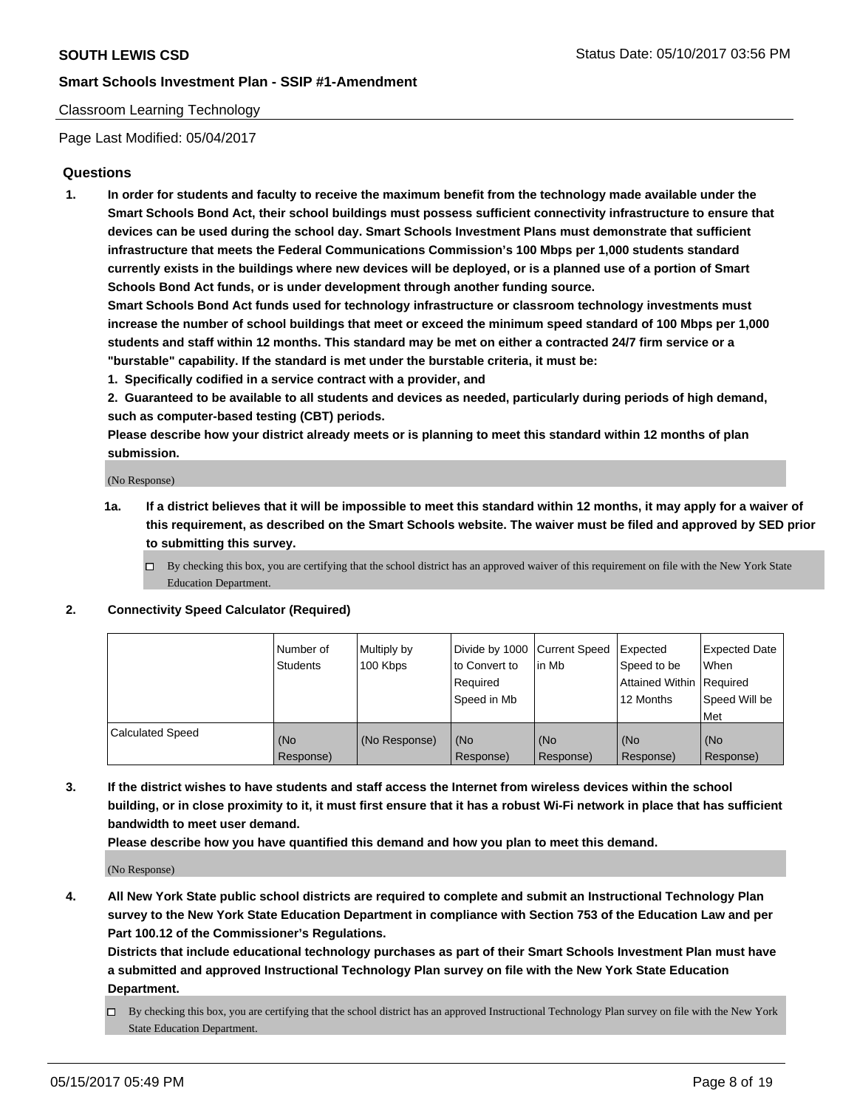## Classroom Learning Technology

Page Last Modified: 05/04/2017

# **Questions**

**1. In order for students and faculty to receive the maximum benefit from the technology made available under the Smart Schools Bond Act, their school buildings must possess sufficient connectivity infrastructure to ensure that devices can be used during the school day. Smart Schools Investment Plans must demonstrate that sufficient infrastructure that meets the Federal Communications Commission's 100 Mbps per 1,000 students standard currently exists in the buildings where new devices will be deployed, or is a planned use of a portion of Smart Schools Bond Act funds, or is under development through another funding source.**

**Smart Schools Bond Act funds used for technology infrastructure or classroom technology investments must increase the number of school buildings that meet or exceed the minimum speed standard of 100 Mbps per 1,000 students and staff within 12 months. This standard may be met on either a contracted 24/7 firm service or a "burstable" capability. If the standard is met under the burstable criteria, it must be:**

- **1. Specifically codified in a service contract with a provider, and**
- **2. Guaranteed to be available to all students and devices as needed, particularly during periods of high demand, such as computer-based testing (CBT) periods.**

**Please describe how your district already meets or is planning to meet this standard within 12 months of plan submission.**

(No Response)

- **1a. If a district believes that it will be impossible to meet this standard within 12 months, it may apply for a waiver of this requirement, as described on the Smart Schools website. The waiver must be filed and approved by SED prior to submitting this survey.**
	- $\Box$  By checking this box, you are certifying that the school district has an approved waiver of this requirement on file with the New York State Education Department.

#### **2. Connectivity Speed Calculator (Required)**

|                         | l Number of<br>Students | Multiply by<br>100 Kbps | Divide by 1000   Current Speed<br>to Convert to<br>Required<br>Speed in Mb | lin Mb           | Expected<br>Speed to be<br>Attained Within Required<br>12 Months | <b>Expected Date</b><br>When<br>Speed Will be<br>Met |
|-------------------------|-------------------------|-------------------------|----------------------------------------------------------------------------|------------------|------------------------------------------------------------------|------------------------------------------------------|
| <b>Calculated Speed</b> | (No<br>Response)        | (No Response)           | (No<br>Response)                                                           | (No<br>Response) | (No<br>Response)                                                 | (No<br>Response)                                     |

**3. If the district wishes to have students and staff access the Internet from wireless devices within the school building, or in close proximity to it, it must first ensure that it has a robust Wi-Fi network in place that has sufficient bandwidth to meet user demand.**

**Please describe how you have quantified this demand and how you plan to meet this demand.**

(No Response)

**4. All New York State public school districts are required to complete and submit an Instructional Technology Plan survey to the New York State Education Department in compliance with Section 753 of the Education Law and per Part 100.12 of the Commissioner's Regulations.**

**Districts that include educational technology purchases as part of their Smart Schools Investment Plan must have a submitted and approved Instructional Technology Plan survey on file with the New York State Education Department.**

 $\Box$  By checking this box, you are certifying that the school district has an approved Instructional Technology Plan survey on file with the New York State Education Department.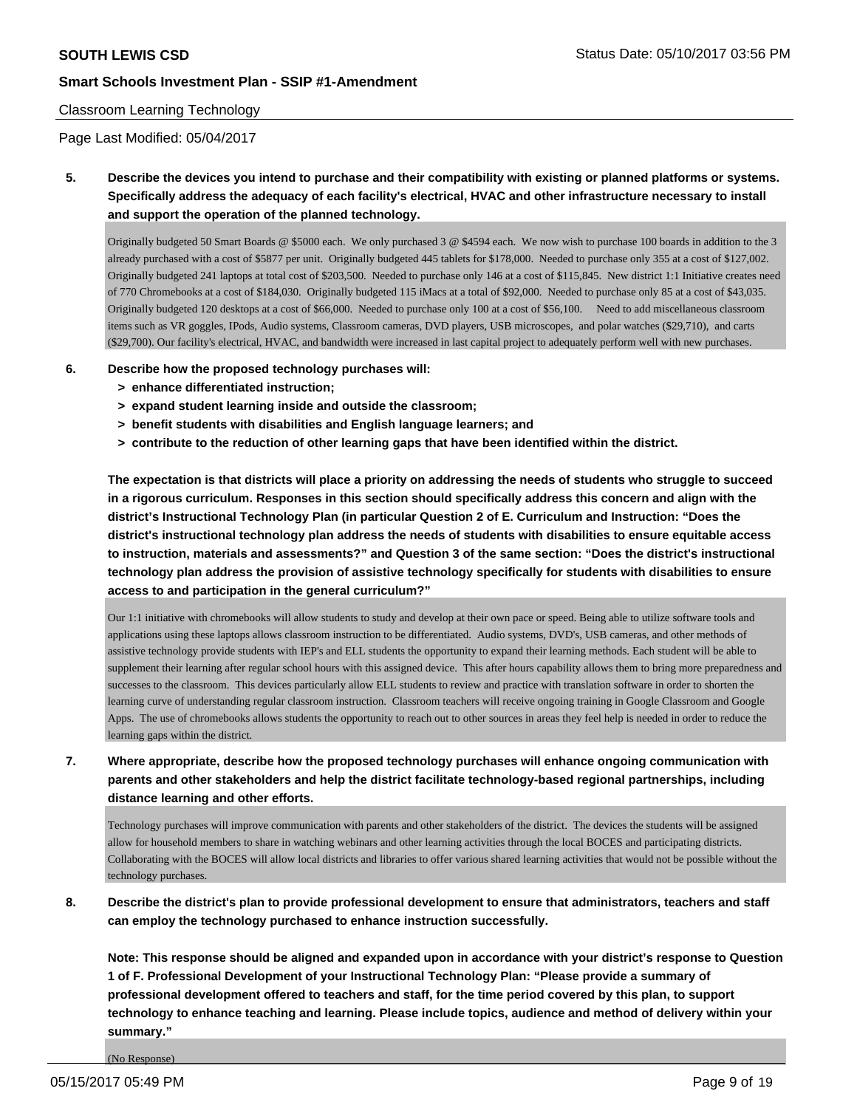## Classroom Learning Technology

Page Last Modified: 05/04/2017

**5. Describe the devices you intend to purchase and their compatibility with existing or planned platforms or systems. Specifically address the adequacy of each facility's electrical, HVAC and other infrastructure necessary to install and support the operation of the planned technology.**

Originally budgeted 50 Smart Boards @ \$5000 each. We only purchased 3 @ \$4594 each. We now wish to purchase 100 boards in addition to the 3 already purchased with a cost of \$5877 per unit. Originally budgeted 445 tablets for \$178,000. Needed to purchase only 355 at a cost of \$127,002. Originally budgeted 241 laptops at total cost of \$203,500. Needed to purchase only 146 at a cost of \$115,845. New district 1:1 Initiative creates need of 770 Chromebooks at a cost of \$184,030. Originally budgeted 115 iMacs at a total of \$92,000. Needed to purchase only 85 at a cost of \$43,035. Originally budgeted 120 desktops at a cost of \$66,000. Needed to purchase only 100 at a cost of \$56,100. Need to add miscellaneous classroom items such as VR goggles, IPods, Audio systems, Classroom cameras, DVD players, USB microscopes, and polar watches (\$29,710), and carts (\$29,700). Our facility's electrical, HVAC, and bandwidth were increased in last capital project to adequately perform well with new purchases.

- **6. Describe how the proposed technology purchases will:**
	- **> enhance differentiated instruction;**
	- **> expand student learning inside and outside the classroom;**
	- **> benefit students with disabilities and English language learners; and**
	- **> contribute to the reduction of other learning gaps that have been identified within the district.**

**The expectation is that districts will place a priority on addressing the needs of students who struggle to succeed in a rigorous curriculum. Responses in this section should specifically address this concern and align with the district's Instructional Technology Plan (in particular Question 2 of E. Curriculum and Instruction: "Does the district's instructional technology plan address the needs of students with disabilities to ensure equitable access to instruction, materials and assessments?" and Question 3 of the same section: "Does the district's instructional technology plan address the provision of assistive technology specifically for students with disabilities to ensure access to and participation in the general curriculum?"**

Our 1:1 initiative with chromebooks will allow students to study and develop at their own pace or speed. Being able to utilize software tools and applications using these laptops allows classroom instruction to be differentiated. Audio systems, DVD's, USB cameras, and other methods of assistive technology provide students with IEP's and ELL students the opportunity to expand their learning methods. Each student will be able to supplement their learning after regular school hours with this assigned device. This after hours capability allows them to bring more preparedness and successes to the classroom. This devices particularly allow ELL students to review and practice with translation software in order to shorten the learning curve of understanding regular classroom instruction. Classroom teachers will receive ongoing training in Google Classroom and Google Apps. The use of chromebooks allows students the opportunity to reach out to other sources in areas they feel help is needed in order to reduce the learning gaps within the district.

**7. Where appropriate, describe how the proposed technology purchases will enhance ongoing communication with parents and other stakeholders and help the district facilitate technology-based regional partnerships, including distance learning and other efforts.**

Technology purchases will improve communication with parents and other stakeholders of the district. The devices the students will be assigned allow for household members to share in watching webinars and other learning activities through the local BOCES and participating districts. Collaborating with the BOCES will allow local districts and libraries to offer various shared learning activities that would not be possible without the technology purchases.

**8. Describe the district's plan to provide professional development to ensure that administrators, teachers and staff can employ the technology purchased to enhance instruction successfully.**

**Note: This response should be aligned and expanded upon in accordance with your district's response to Question 1 of F. Professional Development of your Instructional Technology Plan: "Please provide a summary of professional development offered to teachers and staff, for the time period covered by this plan, to support technology to enhance teaching and learning. Please include topics, audience and method of delivery within your summary."**

(No Response)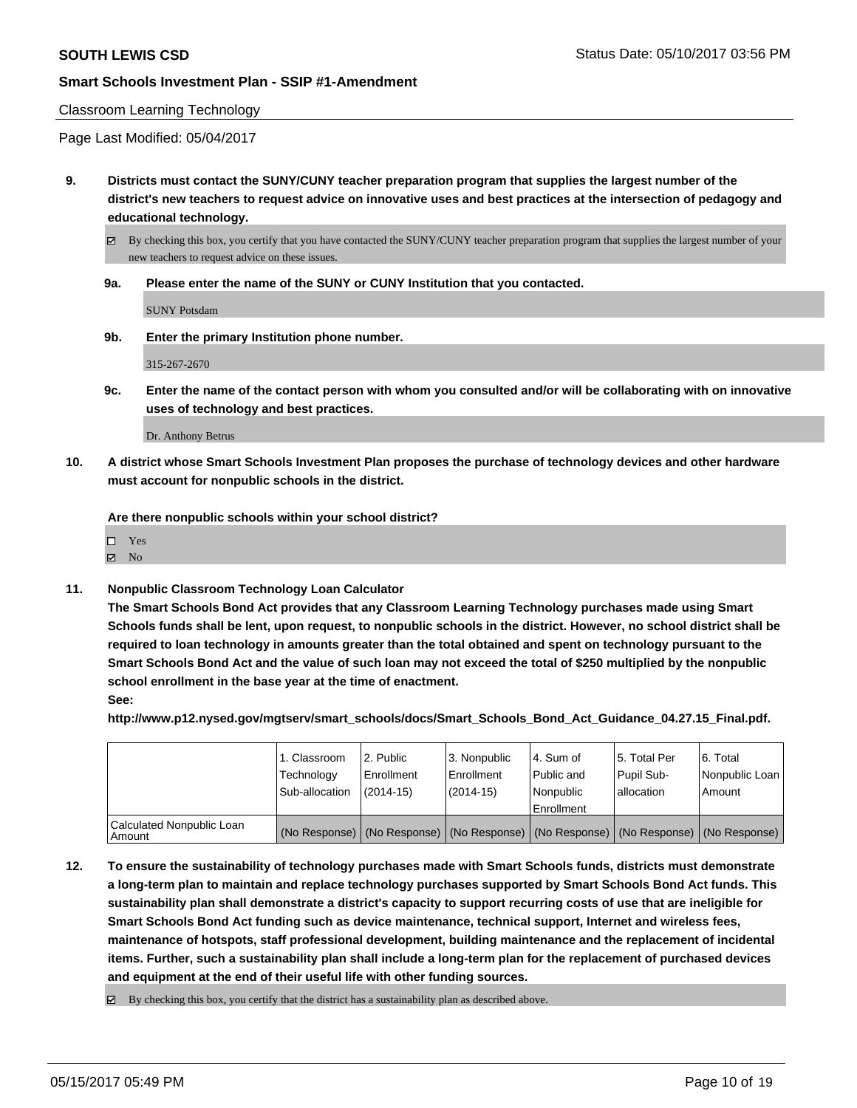#### Classroom Learning Technology

Page Last Modified: 05/04/2017

**9. Districts must contact the SUNY/CUNY teacher preparation program that supplies the largest number of the district's new teachers to request advice on innovative uses and best practices at the intersection of pedagogy and educational technology.**

 $\boxtimes$  By checking this box, you certify that you have contacted the SUNY/CUNY teacher preparation program that supplies the largest number of your new teachers to request advice on these issues.

#### **9a. Please enter the name of the SUNY or CUNY Institution that you contacted.**

SUNY Potsdam

**9b. Enter the primary Institution phone number.**

315-267-2670

**9c. Enter the name of the contact person with whom you consulted and/or will be collaborating with on innovative uses of technology and best practices.**

Dr. Anthony Betrus

**10. A district whose Smart Schools Investment Plan proposes the purchase of technology devices and other hardware must account for nonpublic schools in the district.**

**Are there nonpublic schools within your school district?**

| $\square$ Yes  |  |  |  |
|----------------|--|--|--|
| $\boxtimes$ No |  |  |  |

**11. Nonpublic Classroom Technology Loan Calculator**

**The Smart Schools Bond Act provides that any Classroom Learning Technology purchases made using Smart Schools funds shall be lent, upon request, to nonpublic schools in the district. However, no school district shall be required to loan technology in amounts greater than the total obtained and spent on technology pursuant to the Smart Schools Bond Act and the value of such loan may not exceed the total of \$250 multiplied by the nonpublic school enrollment in the base year at the time of enactment. See:**

**http://www.p12.nysed.gov/mgtserv/smart\_schools/docs/Smart\_Schools\_Bond\_Act\_Guidance\_04.27.15\_Final.pdf.**

|                                       | 1. Classroom<br>Technology<br>Sub-allocation | 2. Public<br>Enrollment<br>$(2014-15)$ | 3. Nonpublic<br>Enrollment<br>(2014-15) | l 4. Sum of<br>Public and<br>l Nonpublic<br>Enrollment | 15. Total Per<br>Pupil Sub-<br>lallocation | 6. Total<br>Nonpublic Loan  <br>Amount                                                        |
|---------------------------------------|----------------------------------------------|----------------------------------------|-----------------------------------------|--------------------------------------------------------|--------------------------------------------|-----------------------------------------------------------------------------------------------|
| Calculated Nonpublic Loan<br>l Amount |                                              |                                        |                                         |                                                        |                                            | (No Response)   (No Response)   (No Response)   (No Response)   (No Response)   (No Response) |

**12. To ensure the sustainability of technology purchases made with Smart Schools funds, districts must demonstrate a long-term plan to maintain and replace technology purchases supported by Smart Schools Bond Act funds. This sustainability plan shall demonstrate a district's capacity to support recurring costs of use that are ineligible for Smart Schools Bond Act funding such as device maintenance, technical support, Internet and wireless fees, maintenance of hotspots, staff professional development, building maintenance and the replacement of incidental items. Further, such a sustainability plan shall include a long-term plan for the replacement of purchased devices and equipment at the end of their useful life with other funding sources.**

 $\boxtimes$  By checking this box, you certify that the district has a sustainability plan as described above.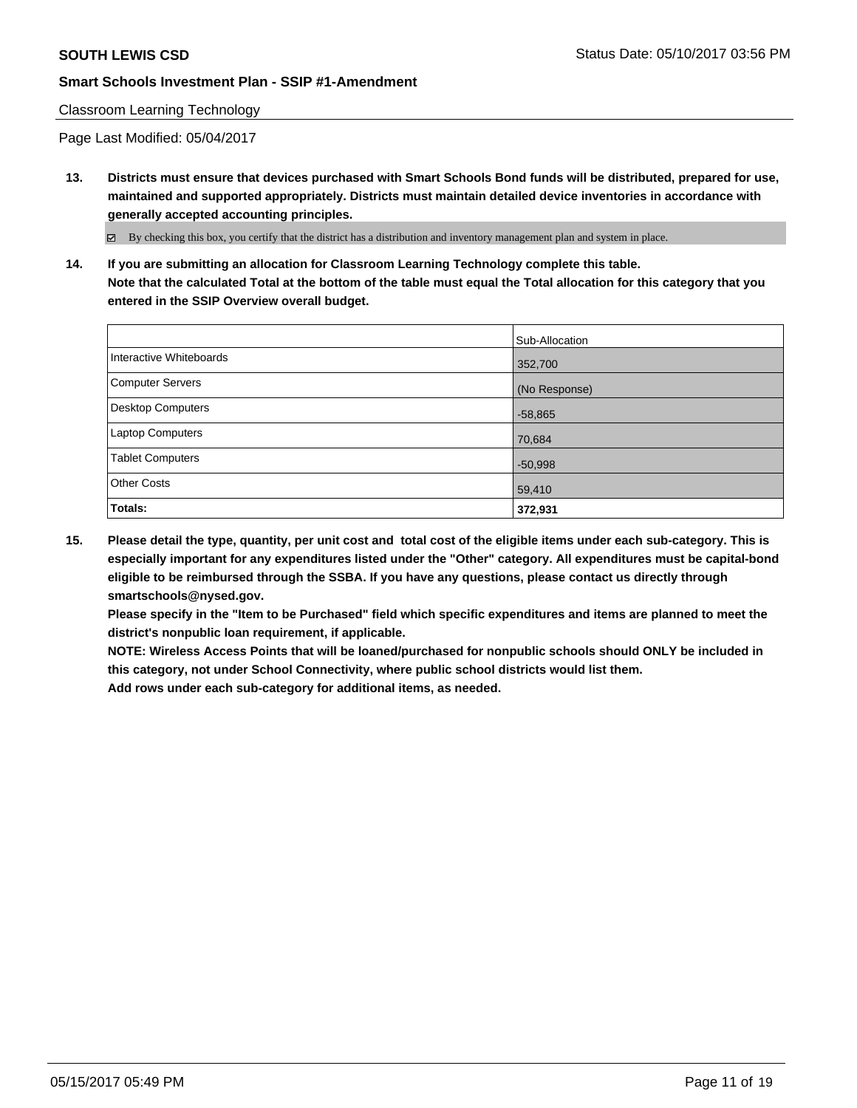## Classroom Learning Technology

Page Last Modified: 05/04/2017

**13. Districts must ensure that devices purchased with Smart Schools Bond funds will be distributed, prepared for use, maintained and supported appropriately. Districts must maintain detailed device inventories in accordance with generally accepted accounting principles.**

By checking this box, you certify that the district has a distribution and inventory management plan and system in place.

**14. If you are submitting an allocation for Classroom Learning Technology complete this table. Note that the calculated Total at the bottom of the table must equal the Total allocation for this category that you entered in the SSIP Overview overall budget.**

|                         | Sub-Allocation |
|-------------------------|----------------|
| Interactive Whiteboards | 352,700        |
| Computer Servers        | (No Response)  |
| Desktop Computers       | $-58,865$      |
| Laptop Computers        | 70,684         |
| <b>Tablet Computers</b> | $-50,998$      |
| <b>Other Costs</b>      | 59,410         |
| Totals:                 | 372,931        |

**15. Please detail the type, quantity, per unit cost and total cost of the eligible items under each sub-category. This is especially important for any expenditures listed under the "Other" category. All expenditures must be capital-bond eligible to be reimbursed through the SSBA. If you have any questions, please contact us directly through smartschools@nysed.gov.**

**Please specify in the "Item to be Purchased" field which specific expenditures and items are planned to meet the district's nonpublic loan requirement, if applicable.**

**NOTE: Wireless Access Points that will be loaned/purchased for nonpublic schools should ONLY be included in this category, not under School Connectivity, where public school districts would list them.**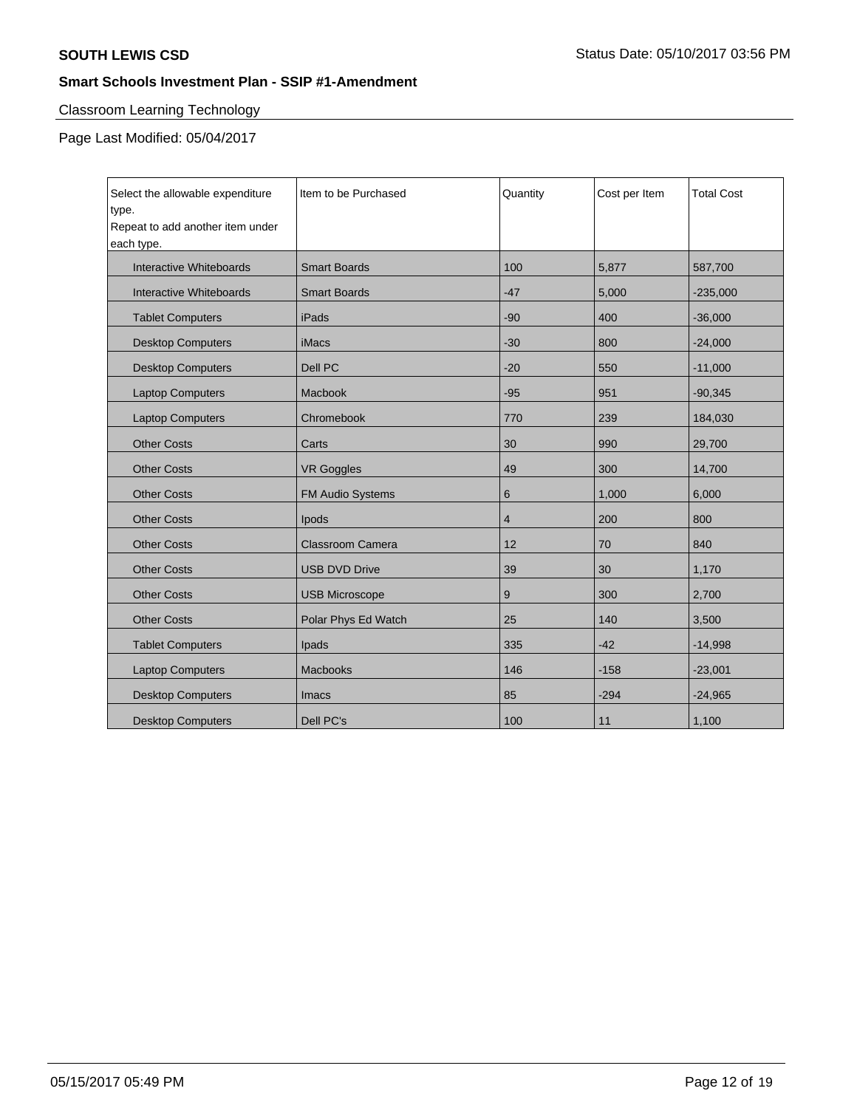# Classroom Learning Technology

| Select the allowable expenditure<br>type.<br>Repeat to add another item under<br>each type. | Item to be Purchased    | Quantity       | Cost per Item | <b>Total Cost</b> |
|---------------------------------------------------------------------------------------------|-------------------------|----------------|---------------|-------------------|
| Interactive Whiteboards                                                                     | <b>Smart Boards</b>     | 100            | 5,877         | 587,700           |
| Interactive Whiteboards                                                                     | <b>Smart Boards</b>     | $-47$          | 5,000         | $-235,000$        |
| <b>Tablet Computers</b>                                                                     | iPads                   | $-90$          | 400           | $-36,000$         |
| <b>Desktop Computers</b>                                                                    | <b>iMacs</b>            | $-30$          | 800           | $-24,000$         |
| <b>Desktop Computers</b>                                                                    | Dell PC                 | $-20$          | 550           | $-11,000$         |
| <b>Laptop Computers</b>                                                                     | Macbook                 | $-95$          | 951           | $-90,345$         |
| <b>Laptop Computers</b>                                                                     | Chromebook              | 770            | 239           | 184,030           |
| <b>Other Costs</b>                                                                          | Carts                   | 30             | 990           | 29,700            |
| <b>Other Costs</b>                                                                          | <b>VR Goggles</b>       | 49             | 300           | 14,700            |
| <b>Other Costs</b>                                                                          | <b>FM Audio Systems</b> | 6              | 1,000         | 6,000             |
| <b>Other Costs</b>                                                                          | Ipods                   | $\overline{4}$ | 200           | 800               |
| <b>Other Costs</b>                                                                          | Classroom Camera        | 12             | 70            | 840               |
| <b>Other Costs</b>                                                                          | <b>USB DVD Drive</b>    | 39             | 30            | 1,170             |
| <b>Other Costs</b>                                                                          | <b>USB Microscope</b>   | 9              | 300           | 2,700             |
| <b>Other Costs</b>                                                                          | Polar Phys Ed Watch     | 25             | 140           | 3,500             |
| <b>Tablet Computers</b>                                                                     | Ipads                   | 335            | $-42$         | $-14,998$         |
| <b>Laptop Computers</b>                                                                     | <b>Macbooks</b>         | 146            | $-158$        | $-23,001$         |
| <b>Desktop Computers</b>                                                                    | Imacs                   | 85             | $-294$        | $-24,965$         |
| <b>Desktop Computers</b>                                                                    | Dell PC's               | 100            | 11            | 1,100             |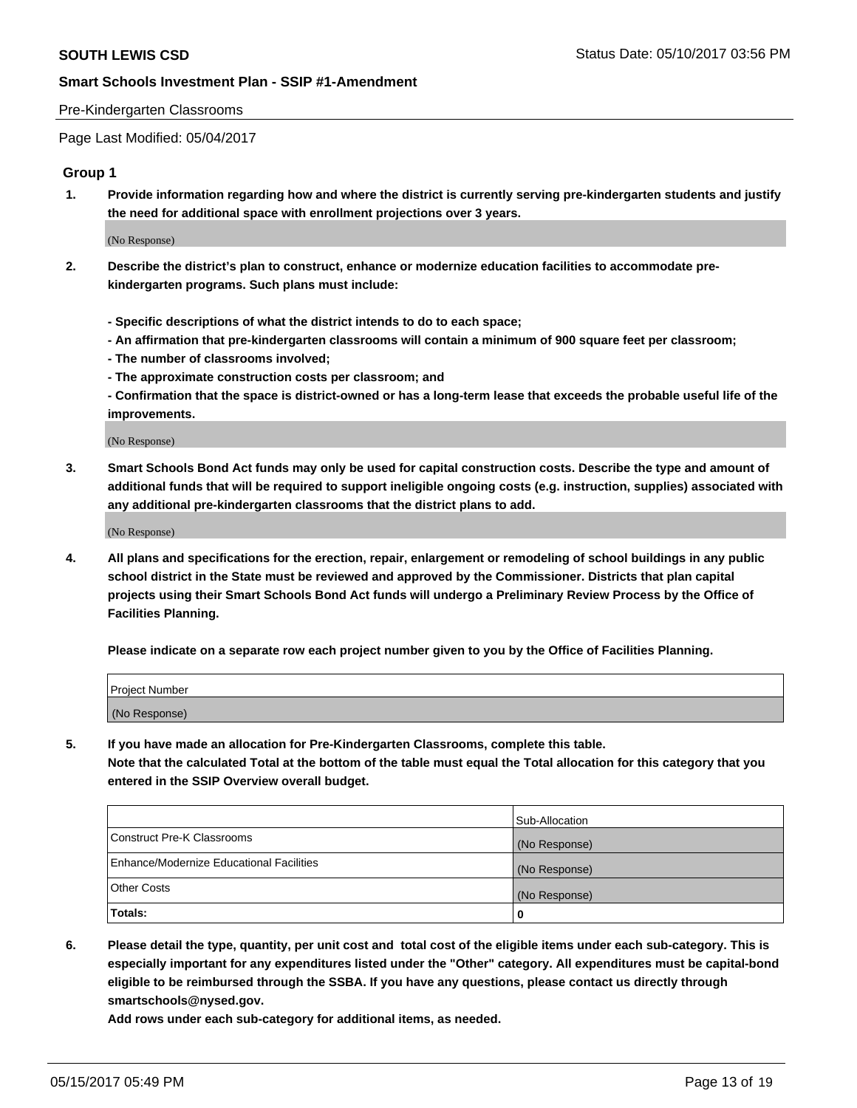#### Pre-Kindergarten Classrooms

Page Last Modified: 05/04/2017

## **Group 1**

**1. Provide information regarding how and where the district is currently serving pre-kindergarten students and justify the need for additional space with enrollment projections over 3 years.**

(No Response)

- **2. Describe the district's plan to construct, enhance or modernize education facilities to accommodate prekindergarten programs. Such plans must include:**
	- **Specific descriptions of what the district intends to do to each space;**
	- **An affirmation that pre-kindergarten classrooms will contain a minimum of 900 square feet per classroom;**
	- **The number of classrooms involved;**
	- **The approximate construction costs per classroom; and**
	- **Confirmation that the space is district-owned or has a long-term lease that exceeds the probable useful life of the improvements.**

(No Response)

**3. Smart Schools Bond Act funds may only be used for capital construction costs. Describe the type and amount of additional funds that will be required to support ineligible ongoing costs (e.g. instruction, supplies) associated with any additional pre-kindergarten classrooms that the district plans to add.**

(No Response)

**4. All plans and specifications for the erection, repair, enlargement or remodeling of school buildings in any public school district in the State must be reviewed and approved by the Commissioner. Districts that plan capital projects using their Smart Schools Bond Act funds will undergo a Preliminary Review Process by the Office of Facilities Planning.**

**Please indicate on a separate row each project number given to you by the Office of Facilities Planning.**

| <b>Project Number</b> |  |
|-----------------------|--|
| (No Response)         |  |

**5. If you have made an allocation for Pre-Kindergarten Classrooms, complete this table. Note that the calculated Total at the bottom of the table must equal the Total allocation for this category that you entered in the SSIP Overview overall budget.**

| Totals:                                  | 0              |
|------------------------------------------|----------------|
| Other Costs                              | (No Response)  |
| Enhance/Modernize Educational Facilities | (No Response)  |
| Construct Pre-K Classrooms               | (No Response)  |
|                                          | Sub-Allocation |

**6. Please detail the type, quantity, per unit cost and total cost of the eligible items under each sub-category. This is especially important for any expenditures listed under the "Other" category. All expenditures must be capital-bond eligible to be reimbursed through the SSBA. If you have any questions, please contact us directly through smartschools@nysed.gov.**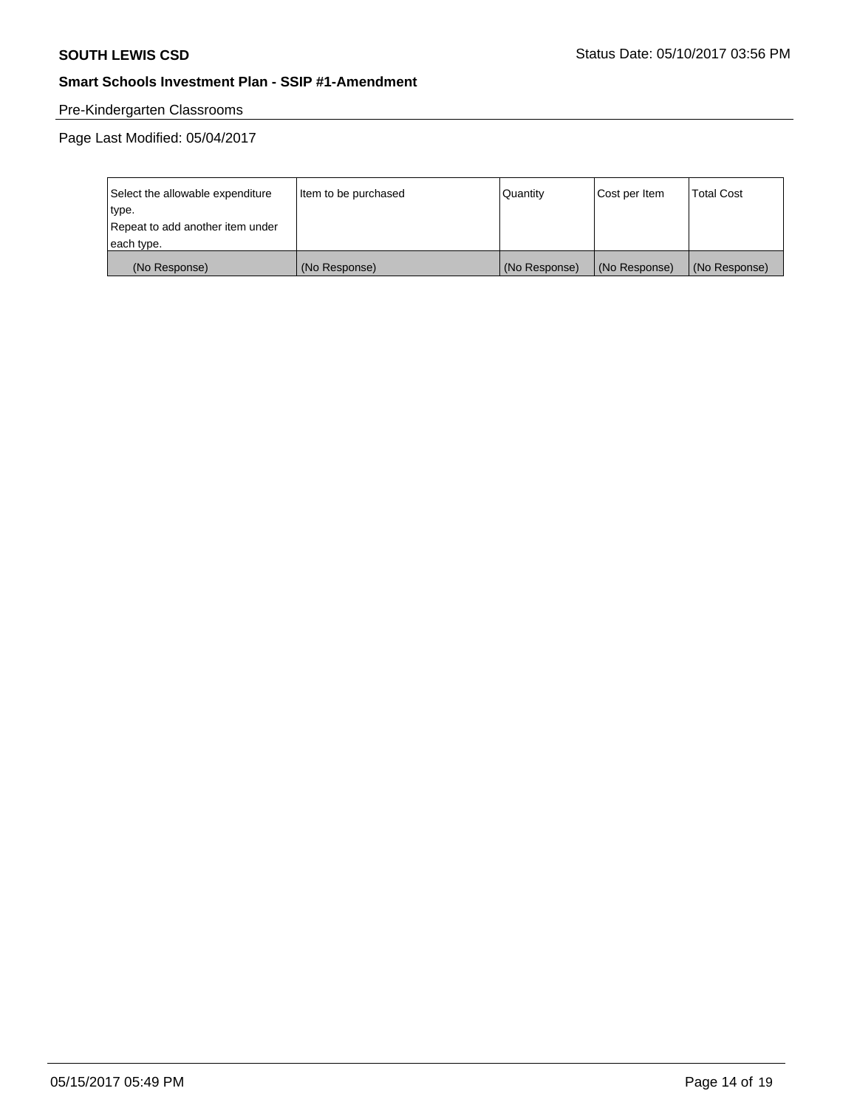# Pre-Kindergarten Classrooms

| Select the allowable expenditure | Item to be purchased | Quantity      | Cost per Item | <b>Total Cost</b> |
|----------------------------------|----------------------|---------------|---------------|-------------------|
| type.                            |                      |               |               |                   |
| Repeat to add another item under |                      |               |               |                   |
| each type.                       |                      |               |               |                   |
| (No Response)                    | (No Response)        | (No Response) | (No Response) | (No Response)     |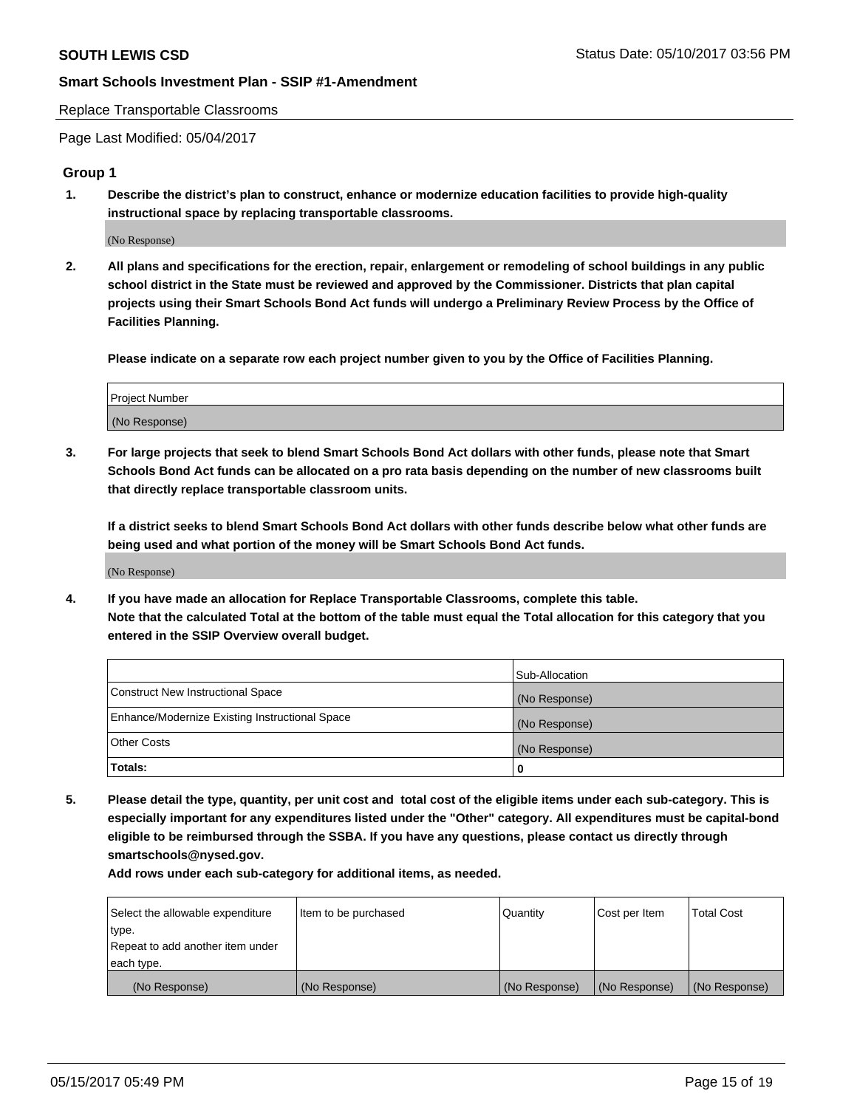Replace Transportable Classrooms

Page Last Modified: 05/04/2017

# **Group 1**

**1. Describe the district's plan to construct, enhance or modernize education facilities to provide high-quality instructional space by replacing transportable classrooms.**

(No Response)

**2. All plans and specifications for the erection, repair, enlargement or remodeling of school buildings in any public school district in the State must be reviewed and approved by the Commissioner. Districts that plan capital projects using their Smart Schools Bond Act funds will undergo a Preliminary Review Process by the Office of Facilities Planning.**

**Please indicate on a separate row each project number given to you by the Office of Facilities Planning.**

| Project Number |  |
|----------------|--|
| (No Response)  |  |

**3. For large projects that seek to blend Smart Schools Bond Act dollars with other funds, please note that Smart Schools Bond Act funds can be allocated on a pro rata basis depending on the number of new classrooms built that directly replace transportable classroom units.**

**If a district seeks to blend Smart Schools Bond Act dollars with other funds describe below what other funds are being used and what portion of the money will be Smart Schools Bond Act funds.**

(No Response)

**4. If you have made an allocation for Replace Transportable Classrooms, complete this table. Note that the calculated Total at the bottom of the table must equal the Total allocation for this category that you entered in the SSIP Overview overall budget.**

|                                                | Sub-Allocation |
|------------------------------------------------|----------------|
| Construct New Instructional Space              | (No Response)  |
| Enhance/Modernize Existing Instructional Space | (No Response)  |
| Other Costs                                    | (No Response)  |
| Totals:                                        | $\Omega$       |

**5. Please detail the type, quantity, per unit cost and total cost of the eligible items under each sub-category. This is especially important for any expenditures listed under the "Other" category. All expenditures must be capital-bond eligible to be reimbursed through the SSBA. If you have any questions, please contact us directly through smartschools@nysed.gov.**

| Select the allowable expenditure | Item to be purchased | Quantity      | Cost per Item | <b>Total Cost</b> |
|----------------------------------|----------------------|---------------|---------------|-------------------|
| type.                            |                      |               |               |                   |
| Repeat to add another item under |                      |               |               |                   |
| each type.                       |                      |               |               |                   |
| (No Response)                    | (No Response)        | (No Response) | (No Response) | (No Response)     |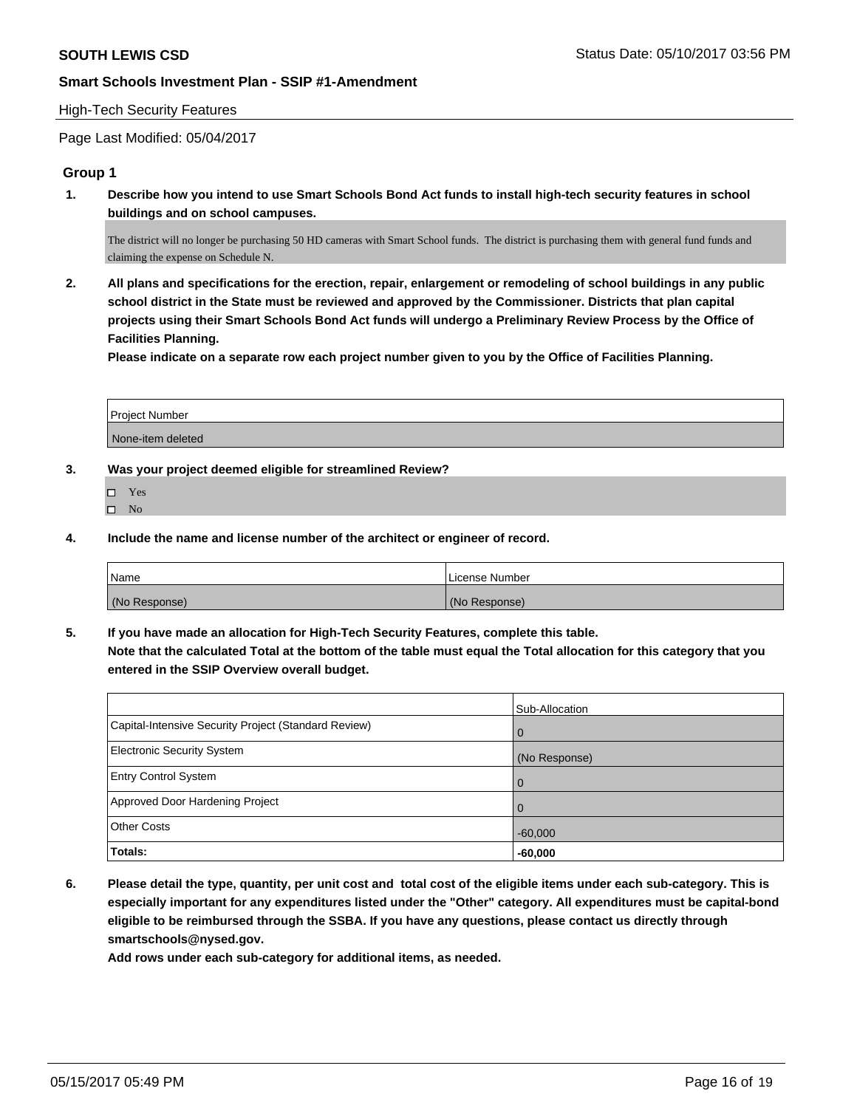#### High-Tech Security Features

Page Last Modified: 05/04/2017

## **Group 1**

**1. Describe how you intend to use Smart Schools Bond Act funds to install high-tech security features in school buildings and on school campuses.**

The district will no longer be purchasing 50 HD cameras with Smart School funds. The district is purchasing them with general fund funds and claiming the expense on Schedule N.

**2. All plans and specifications for the erection, repair, enlargement or remodeling of school buildings in any public school district in the State must be reviewed and approved by the Commissioner. Districts that plan capital projects using their Smart Schools Bond Act funds will undergo a Preliminary Review Process by the Office of Facilities Planning.** 

**Please indicate on a separate row each project number given to you by the Office of Facilities Planning.**

| <b>Project Number</b> |  |
|-----------------------|--|
|                       |  |
| None-item deleted     |  |

**3. Was your project deemed eligible for streamlined Review?**

- Yes
- $\hfill \square$  No
- **4. Include the name and license number of the architect or engineer of record.**

| <sup>1</sup> Name | License Number |
|-------------------|----------------|
| (No Response)     | (No Response)  |

**5. If you have made an allocation for High-Tech Security Features, complete this table. Note that the calculated Total at the bottom of the table must equal the Total allocation for this category that you entered in the SSIP Overview overall budget.**

|                                                      | Sub-Allocation |
|------------------------------------------------------|----------------|
| Capital-Intensive Security Project (Standard Review) | $\Omega$       |
| <b>Electronic Security System</b>                    | (No Response)  |
| <b>Entry Control System</b>                          | $\Omega$       |
| Approved Door Hardening Project                      | 0              |
| <b>Other Costs</b>                                   | $-60,000$      |
| Totals:                                              | $-60,000$      |

**6. Please detail the type, quantity, per unit cost and total cost of the eligible items under each sub-category. This is especially important for any expenditures listed under the "Other" category. All expenditures must be capital-bond eligible to be reimbursed through the SSBA. If you have any questions, please contact us directly through smartschools@nysed.gov.**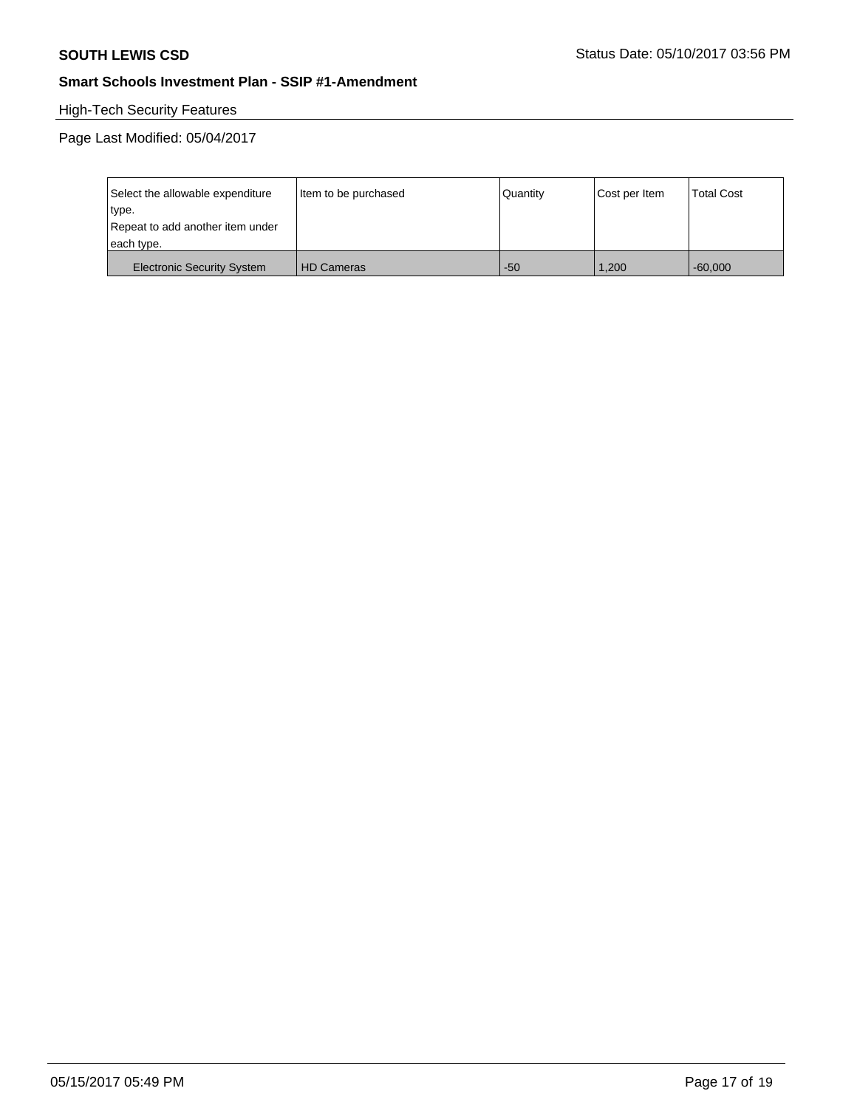# High-Tech Security Features

| Select the allowable expenditure  | Item to be purchased | Quantity | Cost per Item | <b>Total Cost</b> |
|-----------------------------------|----------------------|----------|---------------|-------------------|
| type.                             |                      |          |               |                   |
| Repeat to add another item under  |                      |          |               |                   |
| each type.                        |                      |          |               |                   |
| <b>Electronic Security System</b> | <b>HD Cameras</b>    | $-50$    | 1.200         | $-60.000$         |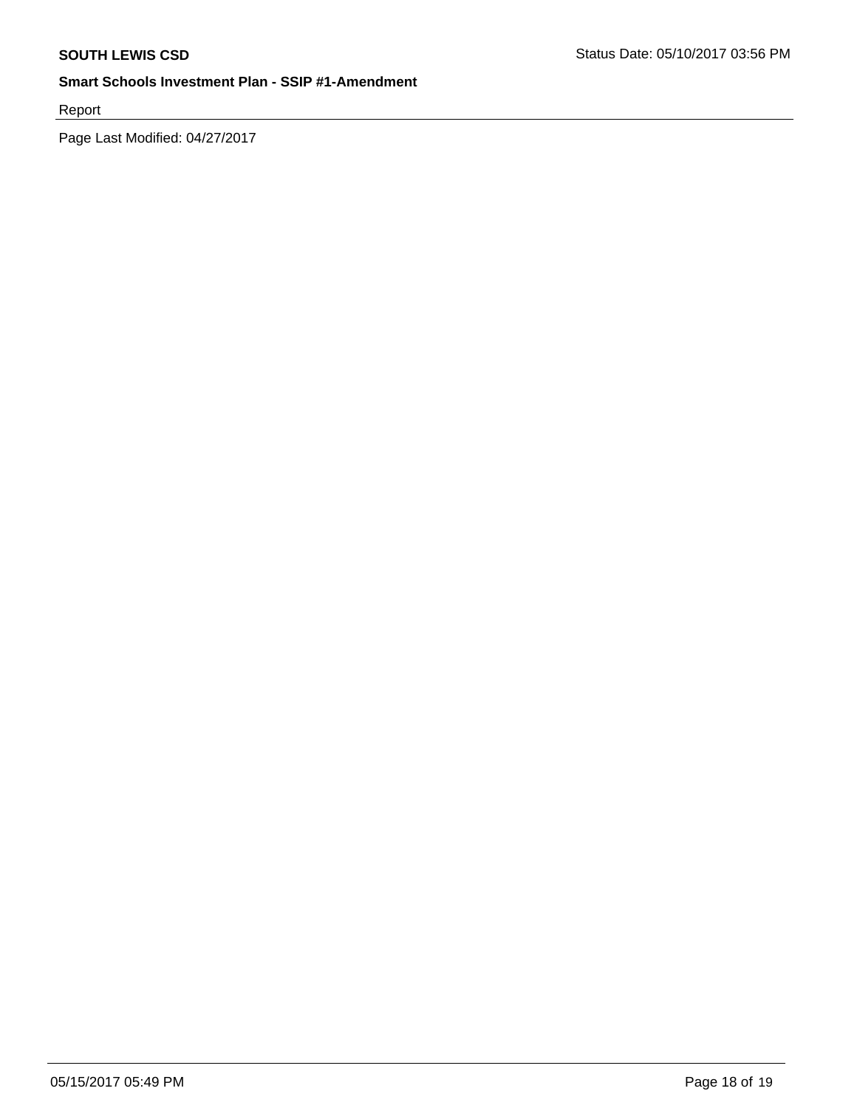Report

Page Last Modified: 04/27/2017